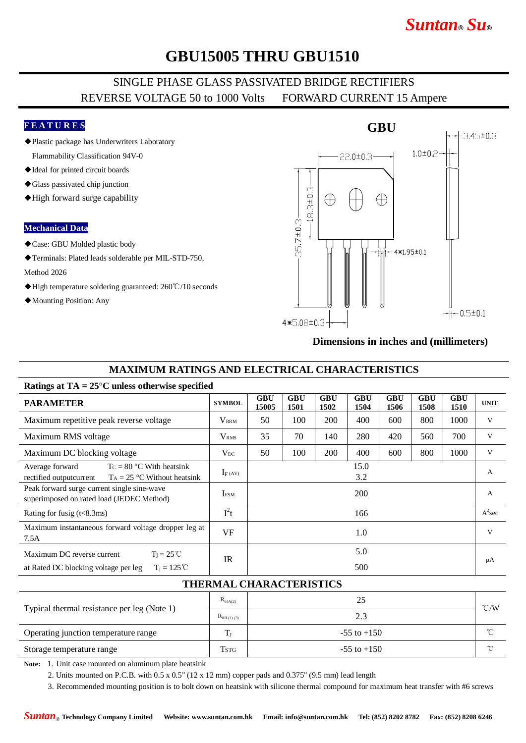# *Suntan***®** *Su***®**

## **GBU15005 THRU GBU1510**

### SINGLE PHASE GLASS PASSIVATED BRIDGE RECTIFIERS REVERSE VOLTAGE 50 to 1000 Volts FORWARD CURRENT 15 Ampere

### **F E A T U R E S**

- ◆Plastic package has Underwriters Laboratory Flammability Classification 94V-0
- ◆Ideal for printed circuit boards
- ◆Glass passivated chip junction
- ◆High forward surge capability

#### **Mechanical Data**

- ◆Case: GBU Molded plastic body
- ◆Terminals: Plated leads solderable per MIL-STD-750,

#### Method 2026

- ◆High temperature soldering guaranteed: 260℃/10 seconds
- ◆Mounting Position: Any



#### **Dimensions in inches and (millimeters)**

### **MAXIMUM RATINGS AND ELECTRICAL CHARACTERISTICS**

| <b>PARAMETER</b>                                                                                            | <b>SYMBOL</b>     | <b>GBU</b><br>15005 | <b>GBU</b><br>1501 | <b>GBU</b><br>1502 | <b>GBU</b><br>1504 | <b>GBU</b><br>1506 | <b>GBU</b><br>1508 | <b>GBU</b><br>1510 | <b>UNIT</b> |
|-------------------------------------------------------------------------------------------------------------|-------------------|---------------------|--------------------|--------------------|--------------------|--------------------|--------------------|--------------------|-------------|
| Maximum repetitive peak reverse voltage                                                                     | $\rm V_{\rm RRM}$ | 50                  | 100                | 200                | 400                | 600                | 800                | 1000               | V           |
| Maximum RMS voltage                                                                                         | V <sub>RMS</sub>  | 35                  | 70                 | 140                | 280                | 420                | 560                | 700                | V           |
| Maximum DC blocking voltage                                                                                 | $V_{DC}$          | 50                  | 100                | 200                | 400                | 600                | 800                | 1000               | V           |
| $T_c = 80$ °C With heatsink<br>Average forward<br>$T_A = 25$ °C Without heatsink<br>rectified outputcurrent | $I_F(AV)$         |                     |                    |                    | 15.0<br>3.2        |                    |                    |                    | A           |
| Peak forward surge current single sine-wave<br>superimposed on rated load (JEDEC Method)                    | <b>IFSM</b>       |                     |                    |                    | 200                |                    |                    |                    | A           |
| Rating for fusig $(t<8.3ms)$                                                                                | $I^2t$            |                     |                    |                    | 166                |                    |                    |                    | $A^2$ sec   |
| Maximum instantaneous forward voltage dropper leg at<br>7.5A                                                | <b>VF</b>         |                     |                    |                    | 1.0                |                    |                    |                    | V           |
| Maximum DC reverse current<br>$T_i = 25^{\circ}C$                                                           | <b>IR</b>         | 5.0                 |                    |                    |                    |                    |                    |                    |             |
| $T_i = 125^{\circ}C$<br>at Rated DC blocking voltage per leg                                                |                   | 500                 |                    |                    |                    |                    |                    |                    | μA          |
|                                                                                                             |                   |                     |                    |                    |                    |                    |                    |                    |             |

#### **THERMAL CHARACTERISTICS**

| Typical thermal resistance per leg (Note 1) | $R_{\theta J A(2)}$  | 25              |               |
|---------------------------------------------|----------------------|-----------------|---------------|
|                                             | $R_{\theta$ JL(1)(3) | 2.3             | $\degree$ C/W |
| Operating junction temperature range        | m                    | $-55$ to $+150$ | $\sim$        |
| Storage temperature range                   | Tstg                 | $-55$ to $+150$ | $\sim$        |

**Note:** 1. Unit case mounted on aluminum plate heatsink

2. Units mounted on P.C.B. with 0.5 x 0.5" (12 x 12 mm) copper pads and 0.375" (9.5 mm) lead length

3. Recommended mounting position is to bolt down on heatsink with silicone thermal compound for maximum heat transfer with #6 screws